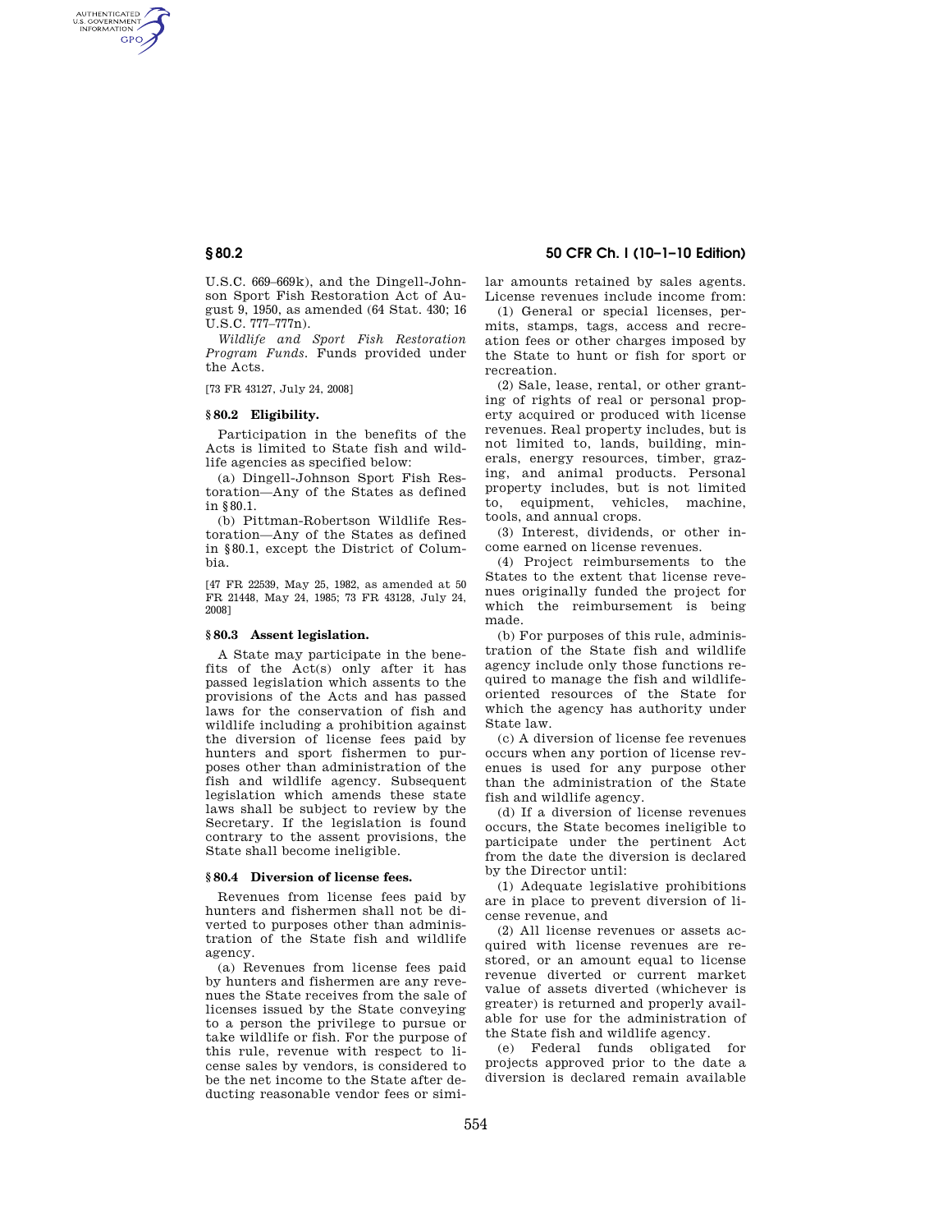AUTHENTICATED<br>U.S. GOVERNMENT<br>INFORMATION **GPO** 

> U.S.C. 669–669k), and the Dingell-Johnson Sport Fish Restoration Act of August 9, 1950, as amended (64 Stat. 430; 16 U.S.C. 777–777n).

> *Wildlife and Sport Fish Restoration Program Funds.* Funds provided under the Acts.

[73 FR 43127, July 24, 2008]

#### **§ 80.2 Eligibility.**

Participation in the benefits of the Acts is limited to State fish and wildlife agencies as specified below:

(a) Dingell-Johnson Sport Fish Restoration—Any of the States as defined in §80.1.

(b) Pittman-Robertson Wildlife Restoration—Any of the States as defined in §80.1, except the District of Columbia.

[47 FR 22539, May 25, 1982, as amended at 50 FR 21448, May 24, 1985; 73 FR 43128, July 24, 2008]

#### **§ 80.3 Assent legislation.**

A State may participate in the benefits of the Act(s) only after it has passed legislation which assents to the provisions of the Acts and has passed laws for the conservation of fish and wildlife including a prohibition against the diversion of license fees paid by hunters and sport fishermen to purposes other than administration of the fish and wildlife agency. Subsequent legislation which amends these state laws shall be subject to review by the Secretary. If the legislation is found contrary to the assent provisions, the State shall become ineligible.

#### **§ 80.4 Diversion of license fees.**

Revenues from license fees paid by hunters and fishermen shall not be diverted to purposes other than administration of the State fish and wildlife agency.

(a) Revenues from license fees paid by hunters and fishermen are any revenues the State receives from the sale of licenses issued by the State conveying to a person the privilege to pursue or take wildlife or fish. For the purpose of this rule, revenue with respect to license sales by vendors, is considered to be the net income to the State after deducting reasonable vendor fees or simi-

# **§ 80.2 50 CFR Ch. I (10–1–10 Edition)**

lar amounts retained by sales agents. License revenues include income from:

(1) General or special licenses, permits, stamps, tags, access and recreation fees or other charges imposed by the State to hunt or fish for sport or recreation.

(2) Sale, lease, rental, or other granting of rights of real or personal property acquired or produced with license revenues. Real property includes, but is not limited to, lands, building, minerals, energy resources, timber, grazing, and animal products. Personal property includes, but is not limited to, equipment, vehicles, machine, tools, and annual crops.

(3) Interest, dividends, or other income earned on license revenues.

(4) Project reimbursements to the States to the extent that license revenues originally funded the project for which the reimbursement is being made.

(b) For purposes of this rule, administration of the State fish and wildlife agency include only those functions required to manage the fish and wildlifeoriented resources of the State for which the agency has authority under State law.

(c) A diversion of license fee revenues occurs when any portion of license revenues is used for any purpose other than the administration of the State fish and wildlife agency.

(d) If a diversion of license revenues occurs, the State becomes ineligible to participate under the pertinent Act from the date the diversion is declared by the Director until:

(1) Adequate legislative prohibitions are in place to prevent diversion of license revenue, and

(2) All license revenues or assets acquired with license revenues are restored, or an amount equal to license revenue diverted or current market value of assets diverted (whichever is greater) is returned and properly available for use for the administration of the State fish and wildlife agency.

(e) Federal funds obligated for projects approved prior to the date a diversion is declared remain available